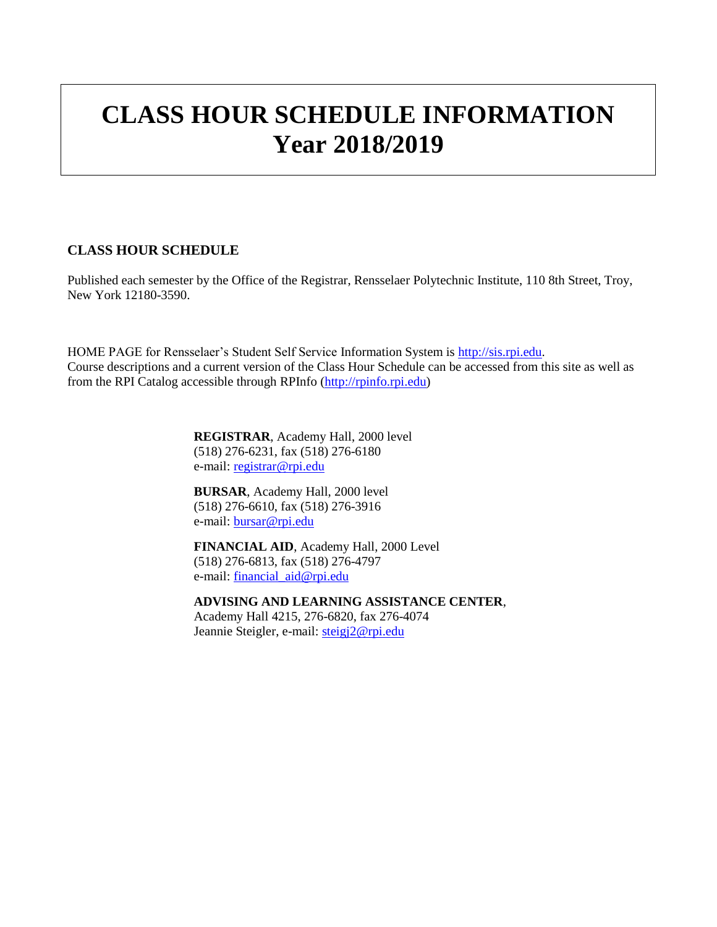# **CLASS HOUR SCHEDULE INFORMATION Year 2018/2019**

### **CLASS HOUR SCHEDULE**

Published each semester by the Office of the Registrar, Rensselaer Polytechnic Institute, 110 8th Street, Troy, New York 12180-3590.

HOME PAGE for Rensselaer's Student Self Service Information System is [http://sis.rpi.edu.](http://sis.rpi.edu/) Course descriptions and a current version of the Class Hour Schedule can be accessed from this site as well as from the RPI Catalog accessible through RPInfo [\(http://rpinfo.rpi.edu\)](http://rpinfo.rpi.edu/)

> **REGISTRAR**, Academy Hall, 2000 level (518) 276-6231, fax (518) 276-6180 e-mail: [registrar@rpi.edu](mailto:registrar@rpi.edu)

**BURSAR**, Academy Hall, 2000 level (518) 276-6610, fax (518) 276-3916 e-mail: [bursar@rpi.edu](mailto:bursar@rpi.edu)

**FINANCIAL AID**, Academy Hall, 2000 Level (518) 276-6813, fax (518) 276-4797 e-mail: [financial\\_aid@rpi.edu](mailto:financial_aid@rpi.edu)

**ADVISING AND LEARNING ASSISTANCE CENTER**, Academy Hall 4215, 276-6820, fax 276-4074 Jeannie Steigler, e-mail: [steigj2@rpi.edu](mailto:steigj2@rpi.edu)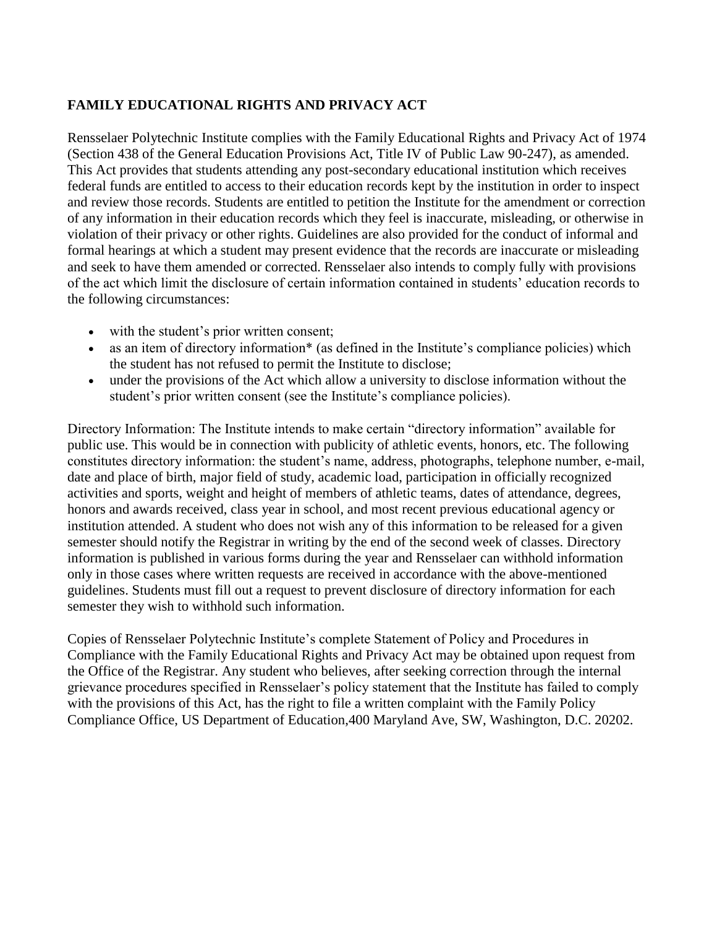# **FAMILY EDUCATIONAL RIGHTS AND PRIVACY ACT**

Rensselaer Polytechnic Institute complies with the Family Educational Rights and Privacy Act of 1974 (Section 438 of the General Education Provisions Act, Title IV of Public Law 90-247), as amended. This Act provides that students attending any post-secondary educational institution which receives federal funds are entitled to access to their education records kept by the institution in order to inspect and review those records. Students are entitled to petition the Institute for the amendment or correction of any information in their education records which they feel is inaccurate, misleading, or otherwise in violation of their privacy or other rights. Guidelines are also provided for the conduct of informal and formal hearings at which a student may present evidence that the records are inaccurate or misleading and seek to have them amended or corrected. Rensselaer also intends to comply fully with provisions of the act which limit the disclosure of certain information contained in students' education records to the following circumstances:

- with the student's prior written consent;
- as an item of directory information\* (as defined in the Institute's compliance policies) which the student has not refused to permit the Institute to disclose;
- under the provisions of the Act which allow a university to disclose information without the student's prior written consent (see the Institute's compliance policies).

Directory Information: The Institute intends to make certain "directory information" available for public use. This would be in connection with publicity of athletic events, honors, etc. The following constitutes directory information: the student's name, address, photographs, telephone number, e-mail, date and place of birth, major field of study, academic load, participation in officially recognized activities and sports, weight and height of members of athletic teams, dates of attendance, degrees, honors and awards received, class year in school, and most recent previous educational agency or institution attended. A student who does not wish any of this information to be released for a given semester should notify the Registrar in writing by the end of the second week of classes. Directory information is published in various forms during the year and Rensselaer can withhold information only in those cases where written requests are received in accordance with the above-mentioned guidelines. Students must fill out a request to prevent disclosure of directory information for each semester they wish to withhold such information.

Copies of Rensselaer Polytechnic Institute's complete Statement of Policy and Procedures in Compliance with the Family Educational Rights and Privacy Act may be obtained upon request from the Office of the Registrar. Any student who believes, after seeking correction through the internal grievance procedures specified in Rensselaer's policy statement that the Institute has failed to comply with the provisions of this Act, has the right to file a written complaint with the Family Policy Compliance Office, US Department of Education,400 Maryland Ave, SW, Washington, D.C. 20202.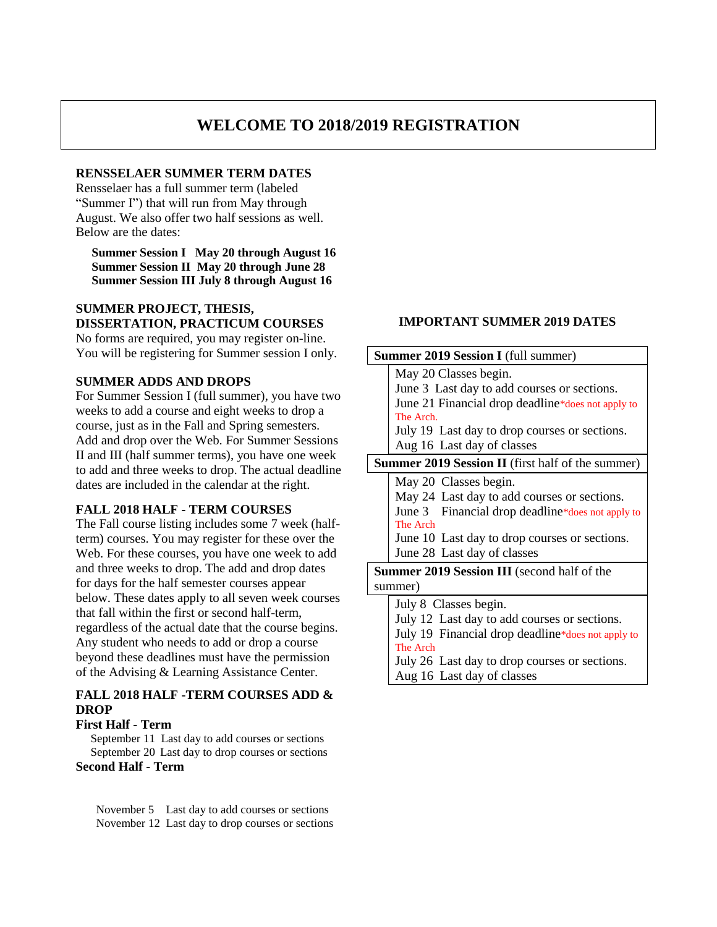# **WELCOME TO 2018/2019 REGISTRATION**

### **RENSSELAER SUMMER TERM DATES**

Rensselaer has a full summer term (labeled "Summer I") that will run from May through August. We also offer two half sessions as well. Below are the dates:

**Summer Session I May 20 through August 16 Summer Session II May 20 through June 28 Summer Session III July 8 through August 16**

### **SUMMER PROJECT, THESIS, DISSERTATION, PRACTICUM COURSES**

No forms are required, you may register on-line. You will be registering for Summer session I only.

#### **SUMMER ADDS AND DROPS**

For Summer Session I (full summer), you have two weeks to add a course and eight weeks to drop a course, just as in the Fall and Spring semesters. Add and drop over the Web. For Summer Sessions II and III (half summer terms), you have one week to add and three weeks to drop. The actual deadline dates are included in the calendar at the right.

#### **FALL 2018 HALF - TERM COURSES**

The Fall course listing includes some 7 week (halfterm) courses. You may register for these over the Web. For these courses, you have one week to add and three weeks to drop. The add and drop dates for days for the half semester courses appear below. These dates apply to all seven week courses that fall within the first or second half-term, regardless of the actual date that the course begins. Any student who needs to add or drop a course beyond these deadlines must have the permission of the Advising & Learning Assistance Center.

# **FALL 2018 HALF -TERM COURSES ADD & DROP**

### **First Half - Term**

 September 11 Last day to add courses or sections September 20 Last day to drop courses or sections **Second Half - Term**

 November 5 Last day to add courses or sections November 12 Last day to drop courses or sections

#### **IMPORTANT SUMMER 2019 DATES**

| <b>Summer 2019 Session I</b> (full summer)               |  |  |  |  |  |  |
|----------------------------------------------------------|--|--|--|--|--|--|
| May 20 Classes begin.                                    |  |  |  |  |  |  |
| June 3 Last day to add courses or sections.              |  |  |  |  |  |  |
| June 21 Financial drop deadline*does not apply to        |  |  |  |  |  |  |
| The Arch.                                                |  |  |  |  |  |  |
| July 19 Last day to drop courses or sections.            |  |  |  |  |  |  |
| Aug 16 Last day of classes                               |  |  |  |  |  |  |
| <b>Summer 2019 Session II</b> (first half of the summer) |  |  |  |  |  |  |
| May 20 Classes begin.                                    |  |  |  |  |  |  |
| May 24 Last day to add courses or sections.              |  |  |  |  |  |  |
| June 3 Financial drop deadline*does not apply to         |  |  |  |  |  |  |
| The Arch                                                 |  |  |  |  |  |  |
| June 10 Last day to drop courses or sections.            |  |  |  |  |  |  |
| June 28 Last day of classes                              |  |  |  |  |  |  |
| <b>Summer 2019 Session III</b> (second half of the       |  |  |  |  |  |  |
| summer)                                                  |  |  |  |  |  |  |
| July 8 Classes begin.                                    |  |  |  |  |  |  |
| July 12 Last day to add courses or sections.             |  |  |  |  |  |  |
| July 19 Financial drop deadline*does not apply to        |  |  |  |  |  |  |
| The Arch                                                 |  |  |  |  |  |  |
| July 26 Last day to drop courses or sections.            |  |  |  |  |  |  |
| Aug 16 Last day of classes                               |  |  |  |  |  |  |
|                                                          |  |  |  |  |  |  |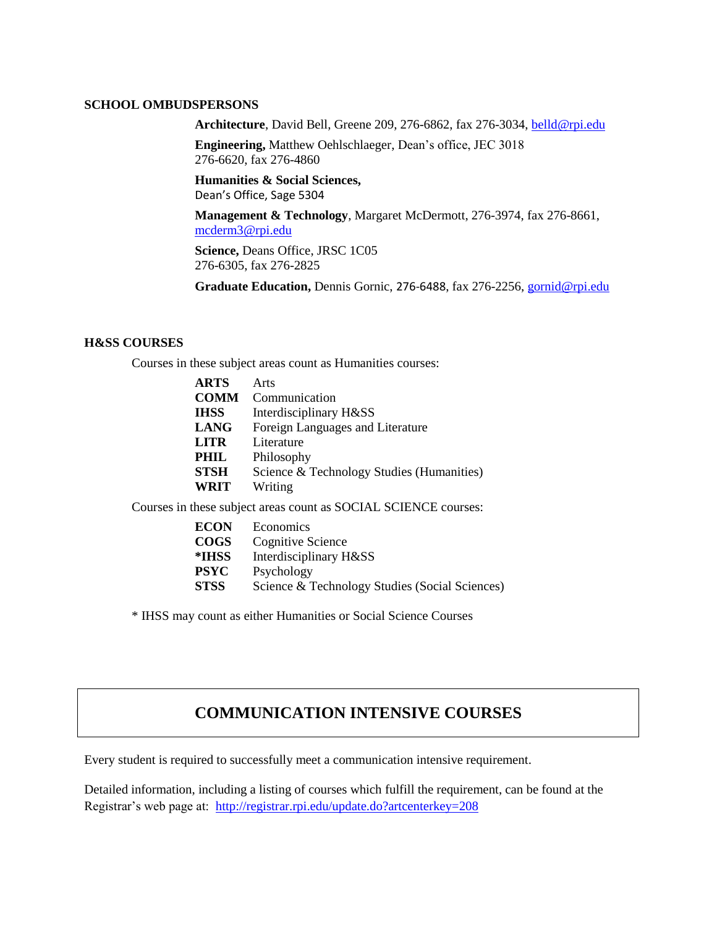#### **SCHOOL OMBUDSPERSONS**

**Architecture**, David Bell, Greene 209, 276-6862, fax 276-3034, [belld@rpi.edu](mailto:belld@rpi.edu)

**Engineering,** Matthew Oehlschlaeger, Dean's office, JEC 3018 276-6620, fax 276-4860

**Humanities & Social Sciences,** Dean's Office, Sage 5304

**Management & Technology**, Margaret McDermott, 276-3974, fax 276-8661, [mcderm3@rpi.edu](mailto:mcderm3@rpi.edu)

**Science,** Deans Office, JRSC 1C05 276-6305, fax 276-2825

**Graduate Education,** Dennis Gornic, 276-6488, fax 276-2256, [gornid@rpi.edu](mailto:gornid@rpi.edu)

#### **H&SS COURSES**

Courses in these subject areas count as Humanities courses:

| <b>ARTS</b> | Arts                                      |
|-------------|-------------------------------------------|
| <b>COMM</b> | Communication                             |
| <b>IHSS</b> | Interdisciplinary H&SS                    |
| <b>LANG</b> | Foreign Languages and Literature          |
| <b>LITR</b> | Literature                                |
| PHIL        | Philosophy                                |
| <b>STSH</b> | Science & Technology Studies (Humanities) |
| <b>WRIT</b> | Writing                                   |
|             |                                           |

Courses in these subject areas count as SOCIAL SCIENCE courses:

| <b>ECON</b> | Economics                                      |
|-------------|------------------------------------------------|
| COGS        | Cognitive Science                              |
| *IHSS       | Interdisciplinary H&SS                         |
| PSYC        | Psychology                                     |
| STSS        | Science & Technology Studies (Social Sciences) |

\* IHSS may count as either Humanities or Social Science Courses

# **COMMUNICATION INTENSIVE COURSES**

Every student is required to successfully meet a communication intensive requirement.

Detailed information, including a listing of courses which fulfill the requirement, can be found at the Registrar's web page at: <http://registrar.rpi.edu/update.do?artcenterkey=208>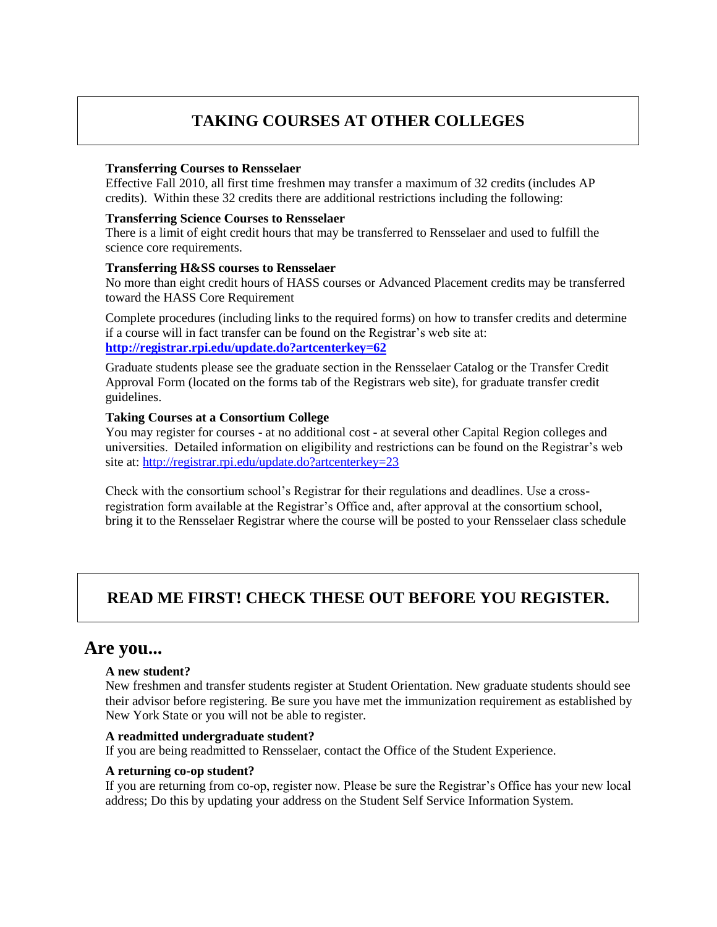# **TAKING COURSES AT OTHER COLLEGES**

#### **Transferring Courses to Rensselaer**

Effective Fall 2010, all first time freshmen may transfer a maximum of 32 credits (includes AP credits). Within these 32 credits there are additional restrictions including the following:

#### **Transferring Science Courses to Rensselaer**

There is a limit of eight credit hours that may be transferred to Rensselaer and used to fulfill the science core requirements.

#### **Transferring H&SS courses to Rensselaer**

No more than eight credit hours of HASS courses or Advanced Placement credits may be transferred toward the HASS Core Requirement

Complete procedures (including links to the required forms) on how to transfer credits and determine if a course will in fact transfer can be found on the Registrar's web site at: **<http://registrar.rpi.edu/update.do?artcenterkey=62>**

Graduate students please see the graduate section in the Rensselaer Catalog or the Transfer Credit Approval Form (located on the forms tab of the Registrars web site), for graduate transfer credit guidelines.

### **Taking Courses at a Consortium College**

You may register for courses - at no additional cost - at several other Capital Region colleges and universities. Detailed information on eligibility and restrictions can be found on the Registrar's web site at: <http://registrar.rpi.edu/update.do?artcenterkey=23>

Check with the consortium school's Registrar for their regulations and deadlines. Use a crossregistration form available at the Registrar's Office and, after approval at the consortium school, bring it to the Rensselaer Registrar where the course will be posted to your Rensselaer class schedule

# **READ ME FIRST! CHECK THESE OUT BEFORE YOU REGISTER.**

# **Are you...**

#### **A new student?**

New freshmen and transfer students register at Student Orientation. New graduate students should see their advisor before registering. Be sure you have met the immunization requirement as established by New York State or you will not be able to register.

#### **A readmitted undergraduate student?**

If you are being readmitted to Rensselaer, contact the Office of the Student Experience.

#### **A returning co-op student?**

If you are returning from co-op, register now. Please be sure the Registrar's Office has your new local address; Do this by updating your address on the Student Self Service Information System.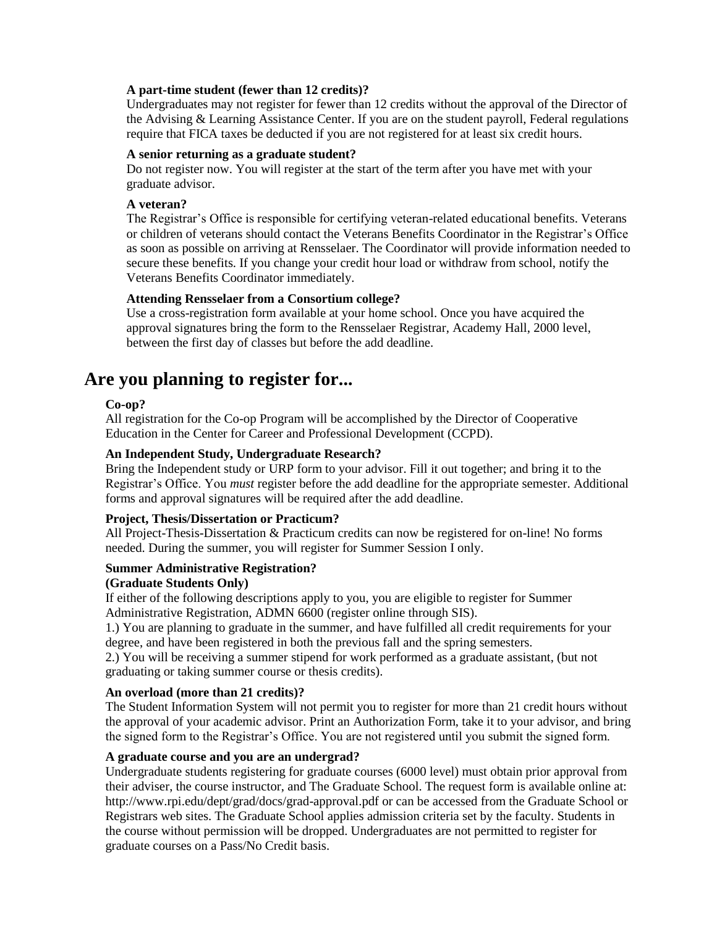#### **A part-time student (fewer than 12 credits)?**

Undergraduates may not register for fewer than 12 credits without the approval of the Director of the Advising & Learning Assistance Center. If you are on the student payroll, Federal regulations require that FICA taxes be deducted if you are not registered for at least six credit hours.

#### **A senior returning as a graduate student?**

Do not register now. You will register at the start of the term after you have met with your graduate advisor.

#### **A veteran?**

The Registrar's Office is responsible for certifying veteran-related educational benefits. Veterans or children of veterans should contact the Veterans Benefits Coordinator in the Registrar's Office as soon as possible on arriving at Rensselaer. The Coordinator will provide information needed to secure these benefits. If you change your credit hour load or withdraw from school, notify the Veterans Benefits Coordinator immediately.

#### **Attending Rensselaer from a Consortium college?**

Use a cross-registration form available at your home school. Once you have acquired the approval signatures bring the form to the Rensselaer Registrar, Academy Hall, 2000 level, between the first day of classes but before the add deadline.

# **Are you planning to register for...**

#### **Co-op?**

All registration for the Co-op Program will be accomplished by the Director of Cooperative Education in the Center for Career and Professional Development (CCPD).

#### **An Independent Study, Undergraduate Research?**

Bring the Independent study or URP form to your advisor. Fill it out together; and bring it to the Registrar's Office. You *must* register before the add deadline for the appropriate semester. Additional forms and approval signatures will be required after the add deadline.

#### **Project, Thesis/Dissertation or Practicum?**

All Project-Thesis-Dissertation & Practicum credits can now be registered for on-line! No forms needed. During the summer, you will register for Summer Session I only.

#### **Summer Administrative Registration?**

#### **(Graduate Students Only)**

If either of the following descriptions apply to you, you are eligible to register for Summer Administrative Registration, ADMN 6600 (register online through SIS).

1.) You are planning to graduate in the summer, and have fulfilled all credit requirements for your degree, and have been registered in both the previous fall and the spring semesters.

2.) You will be receiving a summer stipend for work performed as a graduate assistant, (but not graduating or taking summer course or thesis credits).

#### **An overload (more than 21 credits)?**

The Student Information System will not permit you to register for more than 21 credit hours without the approval of your academic advisor. Print an Authorization Form, take it to your advisor, and bring the signed form to the Registrar's Office. You are not registered until you submit the signed form.

#### **A graduate course and you are an undergrad?**

Undergraduate students registering for graduate courses (6000 level) must obtain prior approval from their adviser, the course instructor, and The Graduate School. The request form is available online at: http://www.rpi.edu/dept/grad/docs/grad-approval.pdf or can be accessed from the Graduate School or Registrars web sites. The Graduate School applies admission criteria set by the faculty. Students in the course without permission will be dropped. Undergraduates are not permitted to register for graduate courses on a Pass/No Credit basis.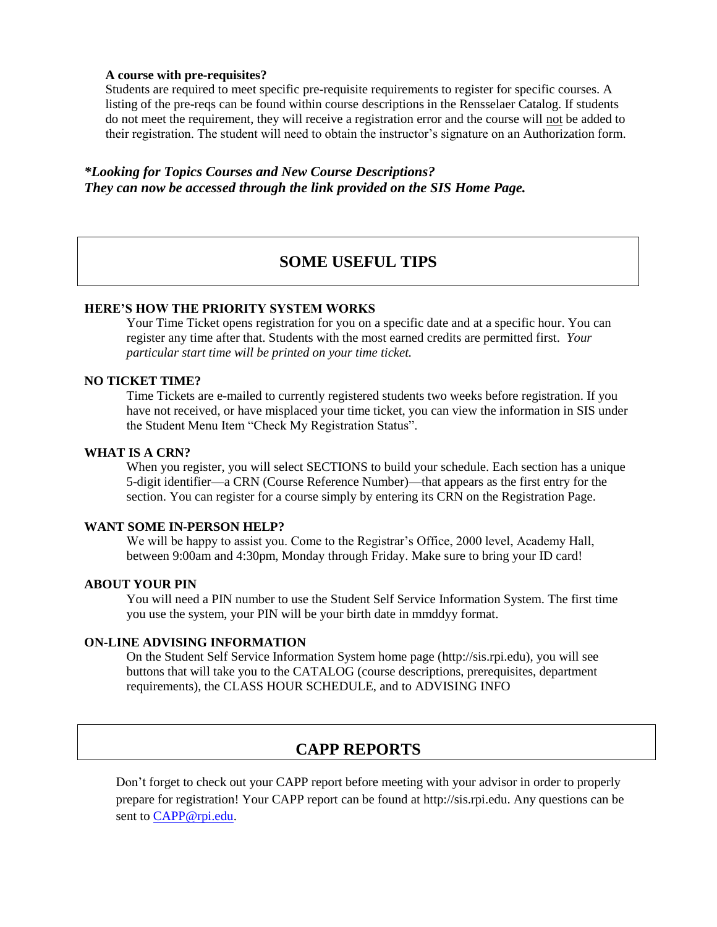#### **A course with pre-requisites?**

Students are required to meet specific pre-requisite requirements to register for specific courses. A listing of the pre-reqs can be found within course descriptions in the Rensselaer Catalog. If students do not meet the requirement, they will receive a registration error and the course will not be added to their registration. The student will need to obtain the instructor's signature on an Authorization form.

### *\*Looking for Topics Courses and New Course Descriptions? They can now be accessed through the link provided on the SIS Home Page.*

# **SOME USEFUL TIPS**

#### **HERE'S HOW THE PRIORITY SYSTEM WORKS**

Your Time Ticket opens registration for you on a specific date and at a specific hour. You can register any time after that. Students with the most earned credits are permitted first. *Your particular start time will be printed on your time ticket.*

#### **NO TICKET TIME?**

Time Tickets are e-mailed to currently registered students two weeks before registration. If you have not received, or have misplaced your time ticket, you can view the information in SIS under the Student Menu Item "Check My Registration Status".

#### **WHAT IS A CRN?**

When you register, you will select SECTIONS to build your schedule. Each section has a unique 5-digit identifier—a CRN (Course Reference Number)—that appears as the first entry for the section. You can register for a course simply by entering its CRN on the Registration Page.

#### **WANT SOME IN-PERSON HELP?**

We will be happy to assist you. Come to the Registrar's Office, 2000 level, Academy Hall, between 9:00am and 4:30pm, Monday through Friday. Make sure to bring your ID card!

#### **ABOUT YOUR PIN**

You will need a PIN number to use the Student Self Service Information System. The first time you use the system, your PIN will be your birth date in mmddyy format.

#### **ON-LINE ADVISING INFORMATION**

On the Student Self Service Information System home page (http://sis.rpi.edu), you will see buttons that will take you to the CATALOG (course descriptions, prerequisites, department requirements), the CLASS HOUR SCHEDULE, and to ADVISING INFO

# **CAPP REPORTS**

Don't forget to check out your CAPP report before meeting with your advisor in order to properly prepare for registration! Your CAPP report can be found at http://sis.rpi.edu. Any questions can be sent to [CAPP@rpi.edu.](mailto:CAPP@rpi.edu)